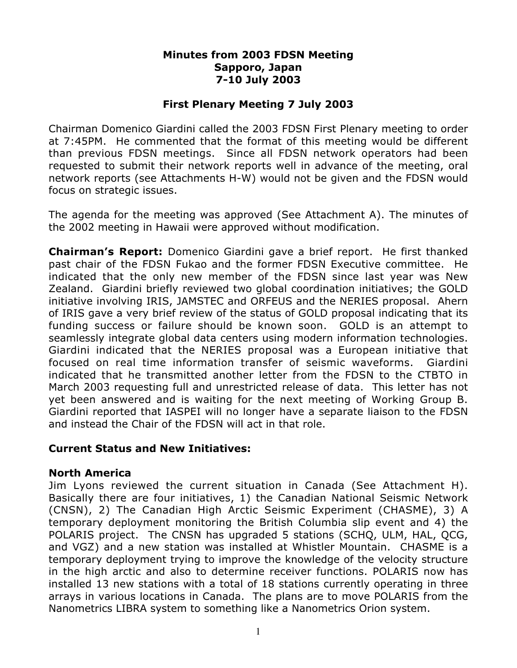#### **Minutes from 2003 FDSN Meeting Sapporo, Japan 7-10 July 2003**

## **First Plenary Meeting 7 July 2003**

Chairman Domenico Giardini called the 2003 FDSN First Plenary meeting to order at 7:45PM. He commented that the format of this meeting would be different than previous FDSN meetings. Since all FDSN network operators had been requested to submit their network reports well in advance of the meeting, oral network reports (see Attachments H-W) would not be given and the FDSN would focus on strategic issues.

The agenda for the meeting was approved (See Attachment A). The minutes of the 2002 meeting in Hawaii were approved without modification.

**Chairman's Report:** Domenico Giardini gave a brief report. He first thanked past chair of the FDSN Fukao and the former FDSN Executive committee. He indicated that the only new member of the FDSN since last year was New Zealand. Giardini briefly reviewed two global coordination initiatives; the GOLD initiative involving IRIS, JAMSTEC and ORFEUS and the NERIES proposal. Ahern of IRIS gave a very brief review of the status of GOLD proposal indicating that its funding success or failure should be known soon. GOLD is an attempt to seamlessly integrate global data centers using modern information technologies. Giardini indicated that the NERIES proposal was a European initiative that focused on real time information transfer of seismic waveforms. Giardini indicated that he transmitted another letter from the FDSN to the CTBTO in March 2003 requesting full and unrestricted release of data. This letter has not yet been answered and is waiting for the next meeting of Working Group B. Giardini reported that IASPEI will no longer have a separate liaison to the FDSN and instead the Chair of the FDSN will act in that role.

## **Current Status and New Initiatives:**

## **North America**

Jim Lyons reviewed the current situation in Canada (See Attachment H). Basically there are four initiatives, 1) the Canadian National Seismic Network (CNSN), 2) The Canadian High Arctic Seismic Experiment (CHASME), 3) A temporary deployment monitoring the British Columbia slip event and 4) the POLARIS project. The CNSN has upgraded 5 stations (SCHQ, ULM, HAL, QCG, and VGZ) and a new station was installed at Whistler Mountain. CHASME is a temporary deployment trying to improve the knowledge of the velocity structure in the high arctic and also to determine receiver functions. POLARIS now has installed 13 new stations with a total of 18 stations currently operating in three arrays in various locations in Canada. The plans are to move POLARIS from the Nanometrics LIBRA system to something like a Nanometrics Orion system.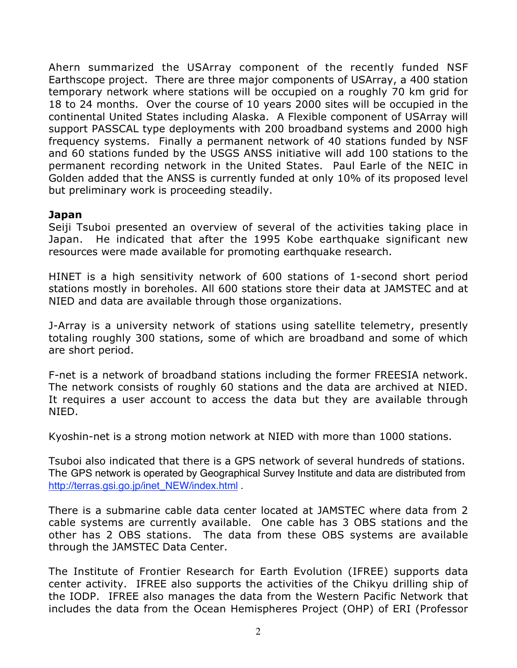Ahern summarized the USArray component of the recently funded NSF Earthscope project. There are three major components of USArray, a 400 station temporary network where stations will be occupied on a roughly 70 km grid for 18 to 24 months. Over the course of 10 years 2000 sites will be occupied in the continental United States including Alaska. A Flexible component of USArray will support PASSCAL type deployments with 200 broadband systems and 2000 high frequency systems. Finally a permanent network of 40 stations funded by NSF and 60 stations funded by the USGS ANSS initiative will add 100 stations to the permanent recording network in the United States. Paul Earle of the NEIC in Golden added that the ANSS is currently funded at only 10% of its proposed level but preliminary work is proceeding steadily.

# **Japan**

Seiji Tsuboi presented an overview of several of the activities taking place in Japan. He indicated that after the 1995 Kobe earthquake significant new resources were made available for promoting earthquake research.

HINET is a high sensitivity network of 600 stations of 1-second short period stations mostly in boreholes. All 600 stations store their data at JAMSTEC and at NIED and data are available through those organizations.

J-Array is a university network of stations using satellite telemetry, presently totaling roughly 300 stations, some of which are broadband and some of which are short period.

F-net is a network of broadband stations including the former FREESIA network. The network consists of roughly 60 stations and the data are archived at NIED. It requires a user account to access the data but they are available through NIED.

Kyoshin-net is a strong motion network at NIED with more than 1000 stations.

Tsuboi also indicated that there is a GPS network of several hundreds of stations. The GPS network is operated by Geographical Survey Institute and data are distributed from http://terras.gsi.go.jp/inet\_NEW/index.html .

There is a submarine cable data center located at JAMSTEC where data from 2 cable systems are currently available. One cable has 3 OBS stations and the other has 2 OBS stations. The data from these OBS systems are available through the JAMSTEC Data Center.

The Institute of Frontier Research for Earth Evolution (IFREE) supports data center activity. IFREE also supports the activities of the Chikyu drilling ship of the IODP. IFREE also manages the data from the Western Pacific Network that includes the data from the Ocean Hemispheres Project (OHP) of ERI (Professor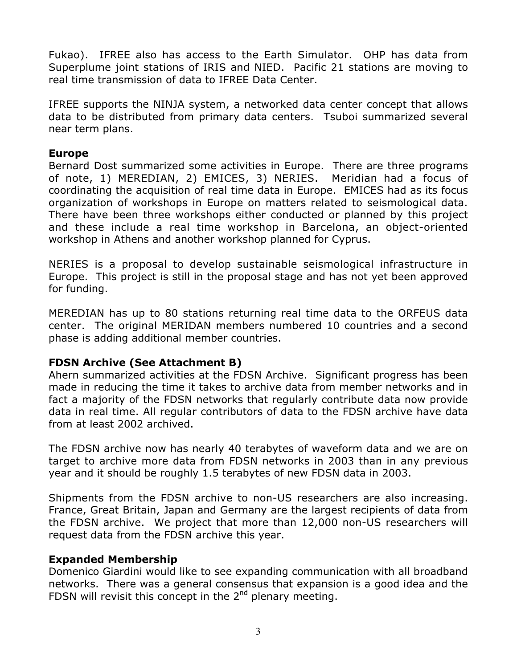Fukao). IFREE also has access to the Earth Simulator. OHP has data from Superplume joint stations of IRIS and NIED. Pacific 21 stations are moving to real time transmission of data to IFREE Data Center.

IFREE supports the NINJA system, a networked data center concept that allows data to be distributed from primary data centers. Tsuboi summarized several near term plans.

## **Europe**

Bernard Dost summarized some activities in Europe. There are three programs of note, 1) MEREDIAN, 2) EMICES, 3) NERIES. Meridian had a focus of coordinating the acquisition of real time data in Europe. EMICES had as its focus organization of workshops in Europe on matters related to seismological data. There have been three workshops either conducted or planned by this project and these include a real time workshop in Barcelona, an object-oriented workshop in Athens and another workshop planned for Cyprus.

NERIES is a proposal to develop sustainable seismological infrastructure in Europe. This project is still in the proposal stage and has not yet been approved for funding.

MEREDIAN has up to 80 stations returning real time data to the ORFEUS data center. The original MERIDAN members numbered 10 countries and a second phase is adding additional member countries.

# **FDSN Archive (See Attachment B)**

Ahern summarized activities at the FDSN Archive. Significant progress has been made in reducing the time it takes to archive data from member networks and in fact a majority of the FDSN networks that regularly contribute data now provide data in real time. All regular contributors of data to the FDSN archive have data from at least 2002 archived.

The FDSN archive now has nearly 40 terabytes of waveform data and we are on target to archive more data from FDSN networks in 2003 than in any previous year and it should be roughly 1.5 terabytes of new FDSN data in 2003.

Shipments from the FDSN archive to non-US researchers are also increasing. France, Great Britain, Japan and Germany are the largest recipients of data from the FDSN archive. We project that more than 12,000 non-US researchers will request data from the FDSN archive this year.

## **Expanded Membership**

Domenico Giardini would like to see expanding communication with all broadband networks. There was a general consensus that expansion is a good idea and the FDSN will revisit this concept in the  $2^{nd}$  plenary meeting.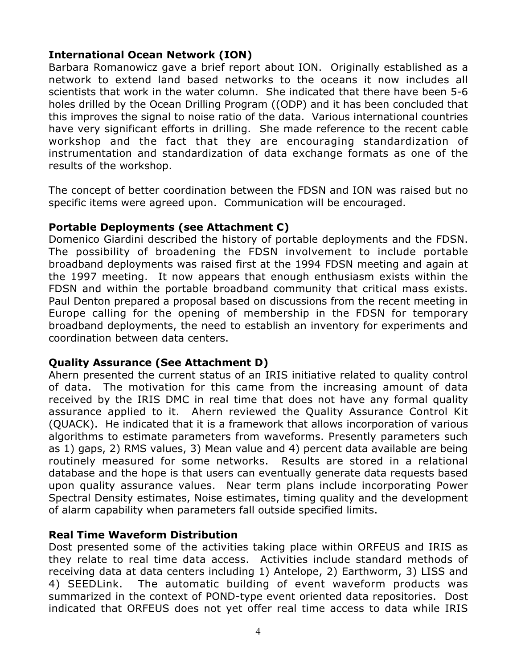# **International Ocean Network (ION)**

Barbara Romanowicz gave a brief report about ION. Originally established as a network to extend land based networks to the oceans it now includes all scientists that work in the water column. She indicated that there have been 5-6 holes drilled by the Ocean Drilling Program ((ODP) and it has been concluded that this improves the signal to noise ratio of the data. Various international countries have very significant efforts in drilling. She made reference to the recent cable workshop and the fact that they are encouraging standardization of instrumentation and standardization of data exchange formats as one of the results of the workshop.

The concept of better coordination between the FDSN and ION was raised but no specific items were agreed upon. Communication will be encouraged.

## **Portable Deployments (see Attachment C)**

Domenico Giardini described the history of portable deployments and the FDSN. The possibility of broadening the FDSN involvement to include portable broadband deployments was raised first at the 1994 FDSN meeting and again at the 1997 meeting. It now appears that enough enthusiasm exists within the FDSN and within the portable broadband community that critical mass exists. Paul Denton prepared a proposal based on discussions from the recent meeting in Europe calling for the opening of membership in the FDSN for temporary broadband deployments, the need to establish an inventory for experiments and coordination between data centers.

## **Quality Assurance (See Attachment D)**

Ahern presented the current status of an IRIS initiative related to quality control of data. The motivation for this came from the increasing amount of data received by the IRIS DMC in real time that does not have any formal quality assurance applied to it. Ahern reviewed the Quality Assurance Control Kit (QUACK). He indicated that it is a framework that allows incorporation of various algorithms to estimate parameters from waveforms. Presently parameters such as 1) gaps, 2) RMS values, 3) Mean value and 4) percent data available are being routinely measured for some networks. Results are stored in a relational database and the hope is that users can eventually generate data requests based upon quality assurance values. Near term plans include incorporating Power Spectral Density estimates, Noise estimates, timing quality and the development of alarm capability when parameters fall outside specified limits.

# **Real Time Waveform Distribution**

Dost presented some of the activities taking place within ORFEUS and IRIS as they relate to real time data access. Activities include standard methods of receiving data at data centers including 1) Antelope, 2) Earthworm, 3) LISS and 4) SEEDLink. The automatic building of event waveform products was summarized in the context of POND-type event oriented data repositories. Dost indicated that ORFEUS does not yet offer real time access to data while IRIS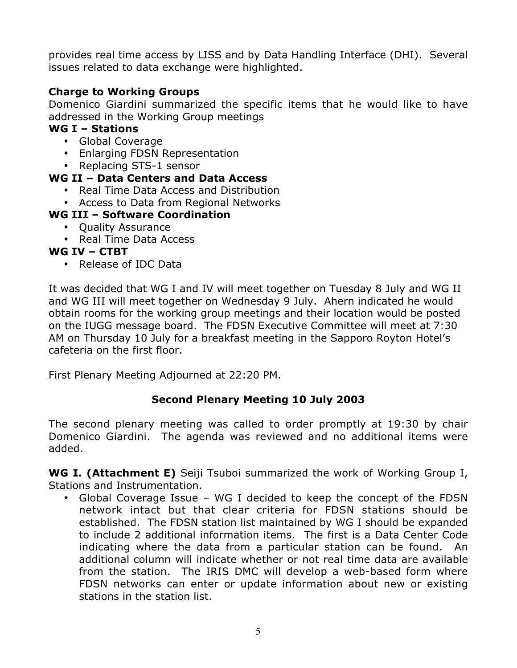provides real time access by LISS and by Data Handling Interface (DHI). Several issues related to data exchange were highlighted.

# **Charge to Working Groups**

Domenico Giardini summarized the specific items that he would like to have addressed in the Working Group meetings

# **WG I – Stations**

Global Coverage Enlarging FDSN Representation Replacing STS-1 sensor

# **WG II – Data Centers and Data Access**

Real Time Data Access and Distribution Access to Data from Regional Networks

# **WG III – Software Coordination**

Quality Assurance Real Time Data Access

## **WG IV – CTBT**

Release of IDC Data

It was decided that WG I and IV will meet together on Tuesday 8 July and WG II and WG III will meet together on Wednesday 9 July. Ahern indicated he would obtain rooms for the working group meetings and their location would be posted on the IUGG message board. The FDSN Executive Committee will meet at 7:30 AM on Thursday 10 July for a breakfast meeting in the Sapporo Royton Hotel's cafeteria on the first floor.

First Plenary Meeting Adjourned at 22:20 PM.

# **Second Plenary Meeting 10 July 2003**

The second plenary meeting was called to order promptly at 19:30 by chair Domenico Giardini. The agenda was reviewed and no additional items were added.

**WG I. (Attachment E)** Seiji Tsuboi summarized the work of Working Group I, Stations and Instrumentation.

Global Coverage Issue – WG I decided to keep the concept of the FDSN network intact but that clear criteria for FDSN stations should be established. The FDSN station list maintained by WG I should be expanded to include 2 additional information items. The first is a Data Center Code indicating where the data from a particular station can be found. An additional column will indicate whether or not real time data are available from the station. The IRIS DMC will develop a web-based form where FDSN networks can enter or update information about new or existing stations in the station list.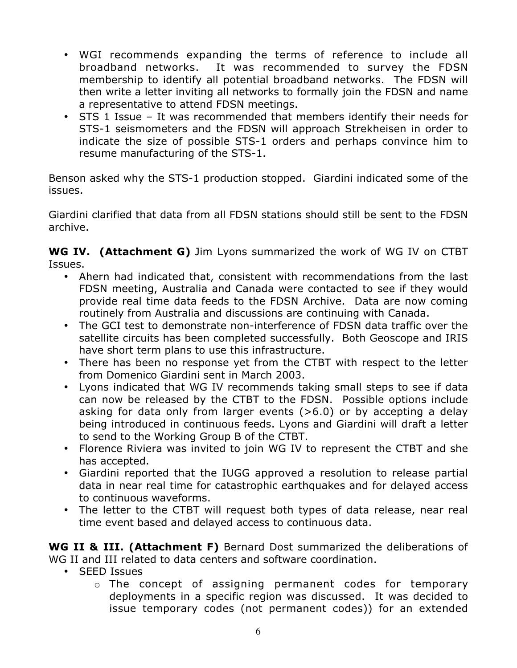WGI recommends expanding the terms of reference to include all broadband networks. It was recommended to survey the FDSN membership to identify all potential broadband networks. The FDSN will then write a letter inviting all networks to formally join the FDSN and name a representative to attend FDSN meetings.

STS 1 Issue – It was recommended that members identify their needs for STS-1 seismometers and the FDSN will approach Strekheisen in order to indicate the size of possible STS-1 orders and perhaps convince him to resume manufacturing of the STS-1.

Benson asked why the STS-1 production stopped. Giardini indicated some of the issues.

Giardini clarified that data from all FDSN stations should still be sent to the FDSN archive.

**WG IV. (Attachment G)** Jim Lyons summarized the work of WG IV on CTBT Issues.

Ahern had indicated that, consistent with recommendations from the last FDSN meeting, Australia and Canada were contacted to see if they would provide real time data feeds to the FDSN Archive. Data are now coming routinely from Australia and discussions are continuing with Canada.

The GCI test to demonstrate non-interference of FDSN data traffic over the satellite circuits has been completed successfully. Both Geoscope and IRIS have short term plans to use this infrastructure.

There has been no response yet from the CTBT with respect to the letter from Domenico Giardini sent in March 2003.

Lyons indicated that WG IV recommends taking small steps to see if data can now be released by the CTBT to the FDSN. Possible options include asking for data only from larger events (>6.0) or by accepting a delay being introduced in continuous feeds. Lyons and Giardini will draft a letter to send to the Working Group B of the CTBT.

Florence Riviera was invited to join WG IV to represent the CTBT and she has accepted.

Giardini reported that the IUGG approved a resolution to release partial data in near real time for catastrophic earthquakes and for delayed access to continuous waveforms.

The letter to the CTBT will request both types of data release, near real time event based and delayed access to continuous data.

**WG II & III. (Attachment F)** Bernard Dost summarized the deliberations of WG II and III related to data centers and software coordination.

SEED Issues

o The concept of assigning permanent codes for temporary deployments in a specific region was discussed. It was decided to issue temporary codes (not permanent codes)) for an extended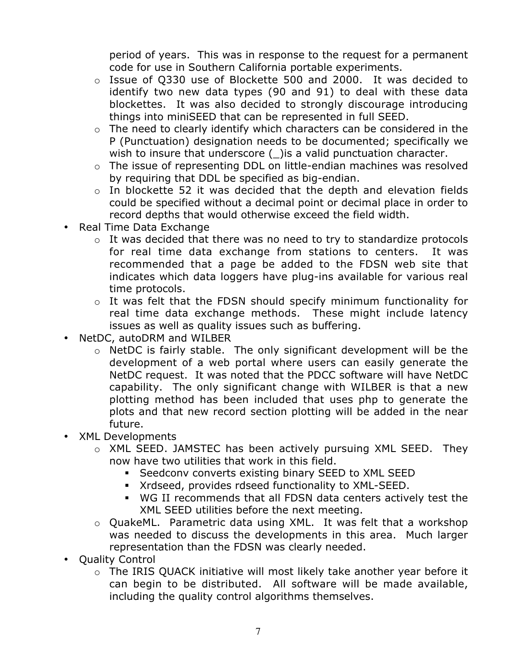period of years. This was in response to the request for a permanent code for use in Southern California portable experiments.

- o Issue of Q330 use of Blockette 500 and 2000. It was decided to identify two new data types (90 and 91) to deal with these data blockettes. It was also decided to strongly discourage introducing things into miniSEED that can be represented in full SEED.
- o The need to clearly identify which characters can be considered in the P (Punctuation) designation needs to be documented; specifically we wish to insure that underscore () is a valid punctuation character.
- o The issue of representing DDL on little-endian machines was resolved by requiring that DDL be specified as big-endian.
- o In blockette 52 it was decided that the depth and elevation fields could be specified without a decimal point or decimal place in order to record depths that would otherwise exceed the field width.
- Real Time Data Exchange
	- o It was decided that there was no need to try to standardize protocols for real time data exchange from stations to centers. It was recommended that a page be added to the FDSN web site that indicates which data loggers have plug-ins available for various real time protocols.
	- o It was felt that the FDSN should specify minimum functionality for real time data exchange methods. These might include latency issues as well as quality issues such as buffering.

NetDC, autoDRM and WILBER

o NetDC is fairly stable. The only significant development will be the development of a web portal where users can easily generate the NetDC request. It was noted that the PDCC software will have NetDC capability. The only significant change with WILBER is that a new plotting method has been included that uses php to generate the plots and that new record section plotting will be added in the near future.

XML Developments

- o XML SEED. JAMSTEC has been actively pursuing XML SEED. They now have two utilities that work in this field.
	- **Seedcony converts existing binary SEED to XML SEED**
	- **Krdseed, provides rdseed functionality to XML-SEED.**
	- ß WG II recommends that all FDSN data centers actively test the XML SEED utilities before the next meeting.
- o QuakeML. Parametric data using XML. It was felt that a workshop was needed to discuss the developments in this area. Much larger representation than the FDSN was clearly needed.

Quality Control

o The IRIS QUACK initiative will most likely take another year before it can begin to be distributed. All software will be made available, including the quality control algorithms themselves.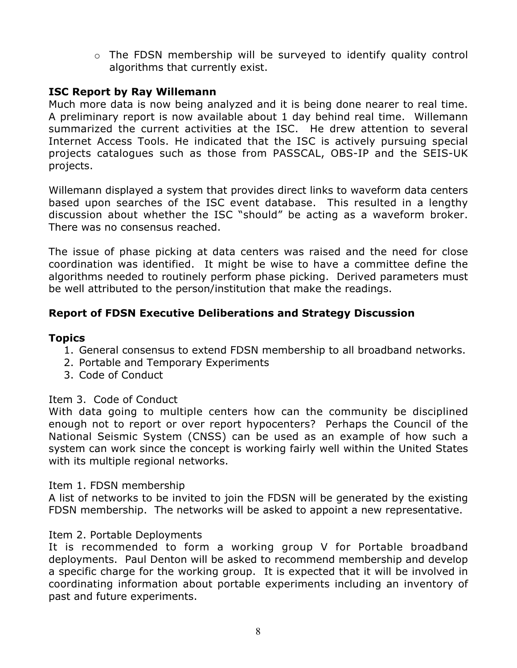o The FDSN membership will be surveyed to identify quality control algorithms that currently exist.

# **ISC Report by Ray Willemann**

Much more data is now being analyzed and it is being done nearer to real time. A preliminary report is now available about 1 day behind real time. Willemann summarized the current activities at the ISC. He drew attention to several Internet Access Tools. He indicated that the ISC is actively pursuing special projects catalogues such as those from PASSCAL, OBS-IP and the SEIS-UK projects.

Willemann displayed a system that provides direct links to waveform data centers based upon searches of the ISC event database. This resulted in a lengthy discussion about whether the ISC "should" be acting as a waveform broker. There was no consensus reached.

The issue of phase picking at data centers was raised and the need for close coordination was identified. It might be wise to have a committee define the algorithms needed to routinely perform phase picking. Derived parameters must be well attributed to the person/institution that make the readings.

# **Report of FDSN Executive Deliberations and Strategy Discussion**

## **Topics**

- 1. General consensus to extend FDSN membership to all broadband networks.
- 2. Portable and Temporary Experiments
- 3. Code of Conduct

#### Item 3. Code of Conduct

With data going to multiple centers how can the community be disciplined enough not to report or over report hypocenters? Perhaps the Council of the National Seismic System (CNSS) can be used as an example of how such a system can work since the concept is working fairly well within the United States with its multiple regional networks.

#### Item 1. FDSN membership

A list of networks to be invited to join the FDSN will be generated by the existing FDSN membership. The networks will be asked to appoint a new representative.

## Item 2. Portable Deployments

It is recommended to form a working group V for Portable broadband deployments. Paul Denton will be asked to recommend membership and develop a specific charge for the working group. It is expected that it will be involved in coordinating information about portable experiments including an inventory of past and future experiments.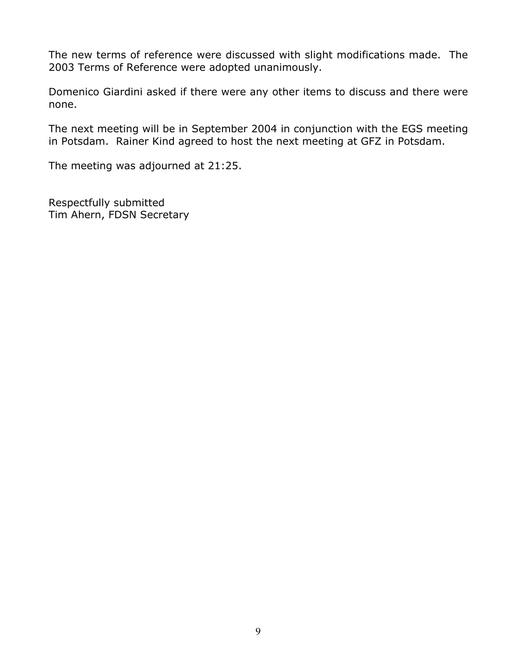The new terms of reference were discussed with slight modifications made. The 2003 Terms of Reference were adopted unanimously.

Domenico Giardini asked if there were any other items to discuss and there were none.

The next meeting will be in September 2004 in conjunction with the EGS meeting in Potsdam. Rainer Kind agreed to host the next meeting at GFZ in Potsdam.

The meeting was adjourned at 21:25.

Respectfully submitted Tim Ahern, FDSN Secretary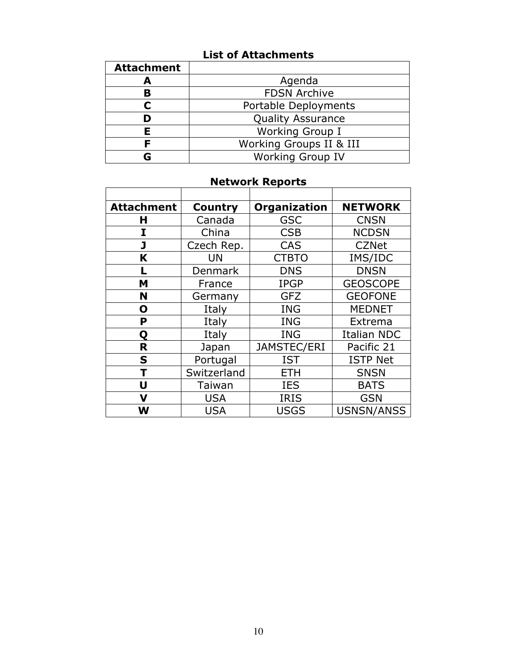# **List of Attachments**

| <b>Attachment</b> |                          |  |
|-------------------|--------------------------|--|
| А                 | Agenda                   |  |
| В                 | <b>FDSN Archive</b>      |  |
|                   | Portable Deployments     |  |
| D                 | <b>Quality Assurance</b> |  |
| F                 | Working Group I          |  |
|                   | Working Groups II & III  |  |
|                   | <b>Working Group IV</b>  |  |

# **Network Reports**

| <b>Attachment</b> | <b>Country</b> | Organization | <b>NETWORK</b>     |
|-------------------|----------------|--------------|--------------------|
| н                 | Canada         | <b>GSC</b>   | <b>CNSN</b>        |
| I                 | China          | <b>CSB</b>   | <b>NCDSN</b>       |
| J                 | Czech Rep.     | <b>CAS</b>   | <b>CZNet</b>       |
| K                 | UN             | <b>CTBTO</b> | IMS/IDC            |
| L                 | Denmark        | <b>DNS</b>   | <b>DNSN</b>        |
| M                 | France         | <b>IPGP</b>  | <b>GEOSCOPE</b>    |
| N                 | Germany        | <b>GFZ</b>   | <b>GEOFONE</b>     |
| O                 | Italy          | <b>ING</b>   | <b>MEDNET</b>      |
| P                 | Italy          | <b>ING</b>   | Extrema            |
| Q                 | Italy          | <b>ING</b>   | <b>Italian NDC</b> |
| R                 | Japan          | JAMSTEC/ERI  | Pacific 21         |
| S                 | Portugal       | <b>IST</b>   | <b>ISTP Net</b>    |
|                   | Switzerland    | <b>ETH</b>   | <b>SNSN</b>        |
| U                 | Taiwan         | <b>IES</b>   | <b>BATS</b>        |
| V                 | <b>USA</b>     | <b>IRIS</b>  | <b>GSN</b>         |
| W                 | <b>USA</b>     | <b>USGS</b>  | USNSN/ANSS         |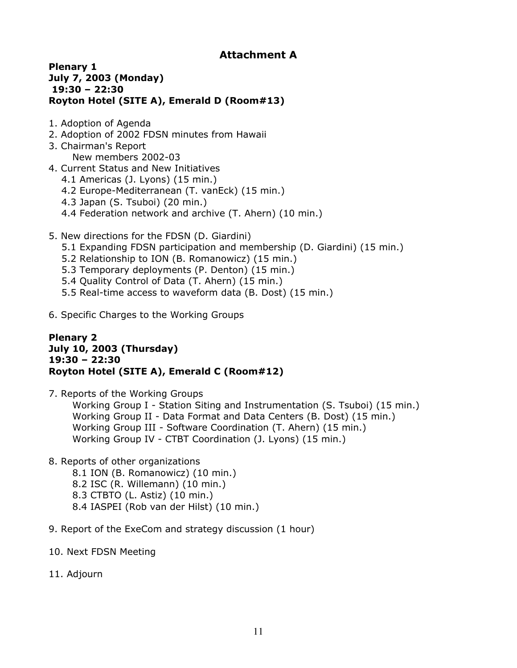#### **Plenary 1 July 7, 2003 (Monday) 19:30 – 22:30 Royton Hotel (SITE A), Emerald D (Room#13)**

- 1. Adoption of Agenda
- 2. Adoption of 2002 FDSN minutes from Hawaii
- 3. Chairman's Report New members 2002-03
- 4. Current Status and New Initiatives
	- 4.1 Americas (J. Lyons) (15 min.)
	- 4.2 Europe-Mediterranean (T. vanEck) (15 min.)
	- 4.3 Japan (S. Tsuboi) (20 min.)
	- 4.4 Federation network and archive (T. Ahern) (10 min.)
- 5. New directions for the FDSN (D. Giardini)
	- 5.1 Expanding FDSN participation and membership (D. Giardini) (15 min.)
	- 5.2 Relationship to ION (B. Romanowicz) (15 min.)
	- 5.3 Temporary deployments (P. Denton) (15 min.)
	- 5.4 Quality Control of Data (T. Ahern) (15 min.)
	- 5.5 Real-time access to waveform data (B. Dost) (15 min.)
- 6. Specific Charges to the Working Groups

#### **Plenary 2 July 10, 2003 (Thursday) 19:30 – 22:30 Royton Hotel (SITE A), Emerald C (Room#12)**

7. Reports of the Working Groups

Working Group I - Station Siting and Instrumentation (S. Tsuboi) (15 min.) Working Group II - Data Format and Data Centers (B. Dost) (15 min.) Working Group III - Software Coordination (T. Ahern) (15 min.) Working Group IV - CTBT Coordination (J. Lyons) (15 min.)

- 8. Reports of other organizations
	- 8.1 ION (B. Romanowicz) (10 min.)
	- 8.2 ISC (R. Willemann) (10 min.)
	- 8.3 CTBTO (L. Astiz) (10 min.)
	- 8.4 IASPEI (Rob van der Hilst) (10 min.)
- 9. Report of the ExeCom and strategy discussion (1 hour)
- 10. Next FDSN Meeting
- 11. Adjourn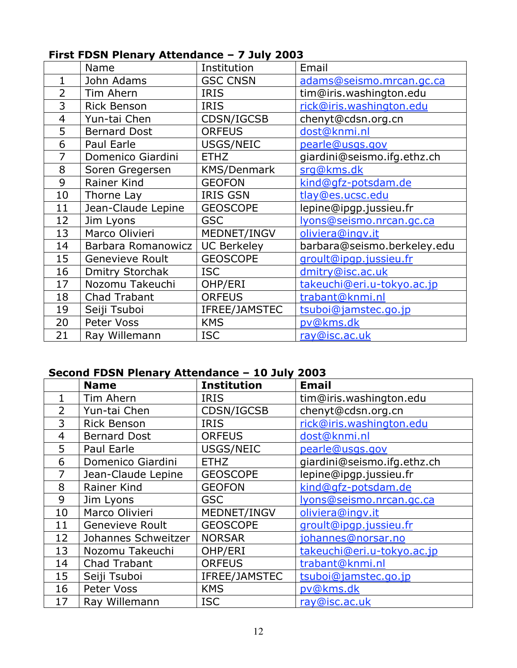|                | $\bf{H}$ is the post-from the figure $\bf{H}$ is a set of $\bf{H}$ is a set of $\bf{H}$ |                    |                             |
|----------------|-----------------------------------------------------------------------------------------|--------------------|-----------------------------|
|                | Name                                                                                    | Institution        | Email                       |
| 1              | John Adams                                                                              | <b>GSC CNSN</b>    | adams@seismo.mrcan.gc.ca    |
| $\overline{2}$ | Tim Ahern                                                                               | <b>IRIS</b>        | tim@iris.washington.edu     |
| 3              | <b>Rick Benson</b>                                                                      | <b>IRIS</b>        | rick@iris.washington.edu    |
| $\overline{4}$ | Yun-tai Chen                                                                            | CDSN/IGCSB         | chenyt@cdsn.org.cn          |
| 5              | <b>Bernard Dost</b>                                                                     | <b>ORFEUS</b>      | dost@knmi.nl                |
| 6              | Paul Earle                                                                              | USGS/NEIC          | pearle@usgs.gov             |
| 7              | Domenico Giardini                                                                       | <b>ETHZ</b>        | giardini@seismo.ifg.ethz.ch |
| 8              | Soren Gregersen                                                                         | <b>KMS/Denmark</b> | srg@kms.dk                  |
| 9              | Rainer Kind                                                                             | <b>GEOFON</b>      | kind@gfz-potsdam.de         |
| 10             | Thorne Lay                                                                              | <b>IRIS GSN</b>    | tlay@es.ucsc.edu            |
| 11             | Jean-Claude Lepine                                                                      | <b>GEOSCOPE</b>    | lepine@ipgp.jussieu.fr      |
| 12             | Jim Lyons                                                                               | <b>GSC</b>         | lyons@seismo.nrcan.gc.ca    |
| 13             | Marco Olivieri                                                                          | MEDNET/INGV        | oliviera@ingv.it            |
| 14             | Barbara Romanowicz                                                                      | <b>UC Berkeley</b> | barbara@seismo.berkeley.edu |
| 15             | Genevieve Roult                                                                         | <b>GEOSCOPE</b>    | groult@ipqp.jussieu.fr      |
| 16             | <b>Dmitry Storchak</b>                                                                  | <b>ISC</b>         | dmitry@isc.ac.uk            |
| 17             | Nozomu Takeuchi                                                                         | OHP/ERI            | takeuchi@eri.u-tokyo.ac.jp  |
| 18             | Chad Trabant                                                                            | <b>ORFEUS</b>      | trabant@knmi.nl             |
| 19             | Seiji Tsuboi                                                                            | IFREE/JAMSTEC      | tsuboi@jamstec.go.jp        |
| 20             | Peter Voss                                                                              | <b>KMS</b>         | pv@kms.dk                   |
| 21             | Ray Willemann                                                                           | <b>ISC</b>         | ray@isc.ac.uk               |

# **First FDSN Plenary Attendance – 7 July 2003**

# **Second FDSN Plenary Attendance – 10 July 2003**

|                | <b>Name</b>            | <b>Institution</b> | <b>Email</b>                |
|----------------|------------------------|--------------------|-----------------------------|
|                | Tim Ahern              | <b>IRIS</b>        | tim@iris.washington.edu     |
| $\overline{2}$ | Yun-tai Chen           | CDSN/IGCSB         | chenyt@cdsn.org.cn          |
| 3              | <b>Rick Benson</b>     | <b>IRIS</b>        | rick@iris.washington.edu    |
| $\overline{4}$ | <b>Bernard Dost</b>    | <b>ORFEUS</b>      | dost@knmi.nl                |
| 5              | Paul Earle             | USGS/NEIC          | pearle@usgs.gov             |
| 6              | Domenico Giardini      | <b>ETHZ</b>        | giardini@seismo.ifg.ethz.ch |
| 7              | Jean-Claude Lepine     | <b>GEOSCOPE</b>    | lepine@ipgp.jussieu.fr      |
| 8              | Rainer Kind            | <b>GEOFON</b>      | kind@qfz-potsdam.de         |
| 9              | Jim Lyons              | <b>GSC</b>         | lyons@seismo.nrcan.gc.ca    |
| 10             | Marco Olivieri         | MEDNET/INGV        | oliviera@ingv.it            |
| 11             | <b>Genevieve Roult</b> | <b>GEOSCOPE</b>    | groult@ipqp.jussieu.fr      |
| 12             | Johannes Schweitzer    | <b>NORSAR</b>      | johannes@norsar.no          |
| 13             | Nozomu Takeuchi        | OHP/ERI            | takeuchi@eri.u-tokyo.ac.jp  |
| 14             | <b>Chad Trabant</b>    | <b>ORFEUS</b>      | trabant@knmi.nl             |
| 15             | Seiji Tsuboi           | IFREE/JAMSTEC      | tsuboi@jamstec.go.jp        |
| 16             | Peter Voss             | <b>KMS</b>         | pv@kms.dk                   |
| 17             | Ray Willemann          | <b>ISC</b>         | ray@isc.ac.uk               |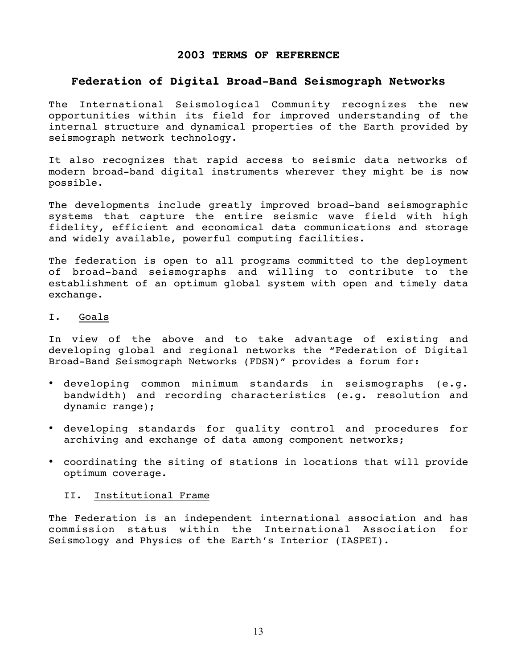#### **2003 TERMS OF REFERENCE**

#### **Federation of Digital Broad-Band Seismograph Networks**

The International Seismological Community recognizes the new opportunities within its field for improved understanding of the internal structure and dynamical properties of the Earth provided by seismograph network technology.

It also recognizes that rapid access to seismic data networks of modern broad-band digital instruments wherever they might be is now possible.

The developments include greatly improved broad-band seismographic systems that capture the entire seismic wave field with high fidelity, efficient and economical data communications and storage and widely available, powerful computing facilities.

The federation is open to all programs committed to the deployment of broad-band seismographs and willing to contribute to the establishment of an optimum global system with open and timely data exchange.

#### I. Goals

In view of the above and to take advantage of existing and developing global and regional networks the "Federation of Digital Broad-Band Seismograph Networks (FDSN)" provides a forum for:

developing common minimum standards in seismographs (e.g. bandwidth) and recording characteristics (e.g. resolution and dynamic range);

developing standards for quality control and procedures for archiving and exchange of data among component networks;

coordinating the siting of stations in locations that will provide optimum coverage.

#### II. Institutional Frame

The Federation is an independent international association and has commission status within the International Association for Seismology and Physics of the Earth's Interior (IASPEI).